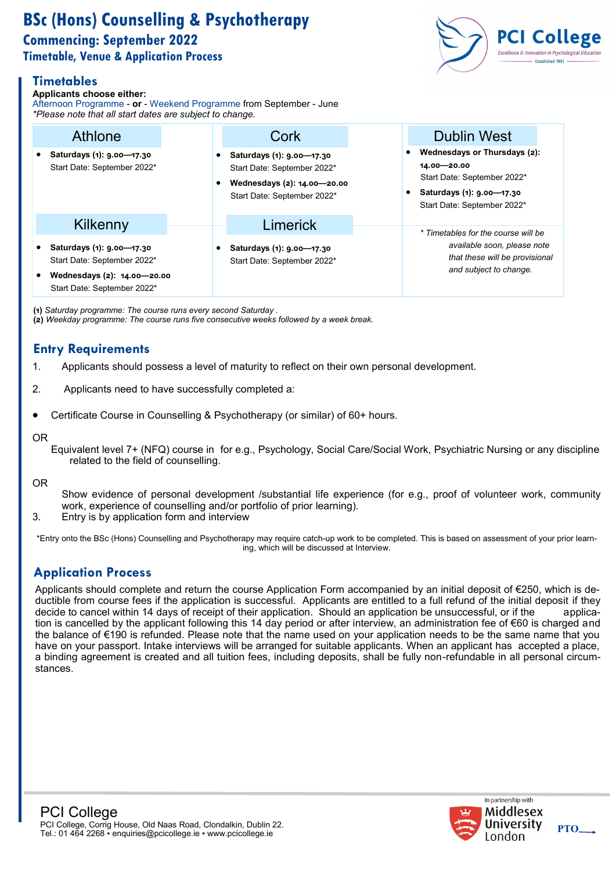# **BSc (Hons) Counselling & Psychotherapy Commencing: September 2022 Timetable, Venue & Application Process**

# **Timetables**

#### **Applicants choose either:**

Afternoon Programme - **or** - Weekend Programme from September - June *\*Please note that all start dates are subject to change.*

| Please note that all start dates are subject to change.                                                                    |                                                                                                                        |                                                                                                                                          |
|----------------------------------------------------------------------------------------------------------------------------|------------------------------------------------------------------------------------------------------------------------|------------------------------------------------------------------------------------------------------------------------------------------|
| Athlone                                                                                                                    | Cork                                                                                                                   | <b>Dublin West</b>                                                                                                                       |
| • Saturdays (1): 9.00-17.30<br>Start Date: September 2022*                                                                 | Saturdays (1): 9.00-17.30<br>Start Date: September 2022*<br>Wednesdays (2): 14.00-20.00<br>Start Date: September 2022* | Wednesdays or Thursdays (2):<br>14.00 - 20.00<br>Start Date: September 2022*<br>Saturdays (1): 9.00-17.30<br>Start Date: September 2022* |
| Kilkenny                                                                                                                   | Limerick                                                                                                               |                                                                                                                                          |
| • Saturdays (1): 9.00-17.30<br>Start Date: September 2022*<br>• Wednesdays (2): 14.00-20.00<br>Start Date: September 2022* | Saturdays (1): 9.00-17.30<br>Start Date: September 2022*                                                               | * Timetables for the course will be<br>available soon, please note<br>that these will be provisional<br>and subject to change.           |

**(1)** *Saturday programme: The course runs every second Saturday .*  **(2)** *Weekday programme: The course runs five consecutive weeks followed by a week break.*

# **Entry Requirements**

- 1. Applicants should possess a level of maturity to reflect on their own personal development.
- 2. Applicants need to have successfully completed a:
- Certificate Course in Counselling & Psychotherapy (or similar) of 60+ hours.

#### OR

Equivalent level 7+ (NFQ) course in for e.g., Psychology, Social Care/Social Work, Psychiatric Nursing or any discipline related to the field of counselling.

OR

- Show evidence of personal development /substantial life experience (for e.g., proof of volunteer work, community work, experience of counselling and/or portfolio of prior learning).
- 3. Entry is by application form and interview

\*Entry onto the BSc (Hons) Counselling and Psychotherapy may require catch-up work to be completed. This is based on assessment of your prior learning, which will be discussed at Interview.

# **Application Process**

Applicants should complete and return the course Application Form accompanied by an initial deposit of €250, which is deductible from course fees if the application is successful. Applicants are entitled to a full refund of the initial deposit if they decide to cancel within 14 days of receipt of their application. Should an application be unsuccessful, or if the application is cancelled by the applicant following this 14 day period or after interview, an administration fee of €60 is charged and the balance of €190 is refunded. Please note that the name used on your application needs to be the same name that you have on your passport. Intake interviews will be arranged for suitable applicants. When an applicant has accepted a place, a binding agreement is created and all tuition fees, including deposits, shall be fully non-refundable in all personal circumstances.





**PTO**

**PCI College Excellence & Innovation in Psychological Educa**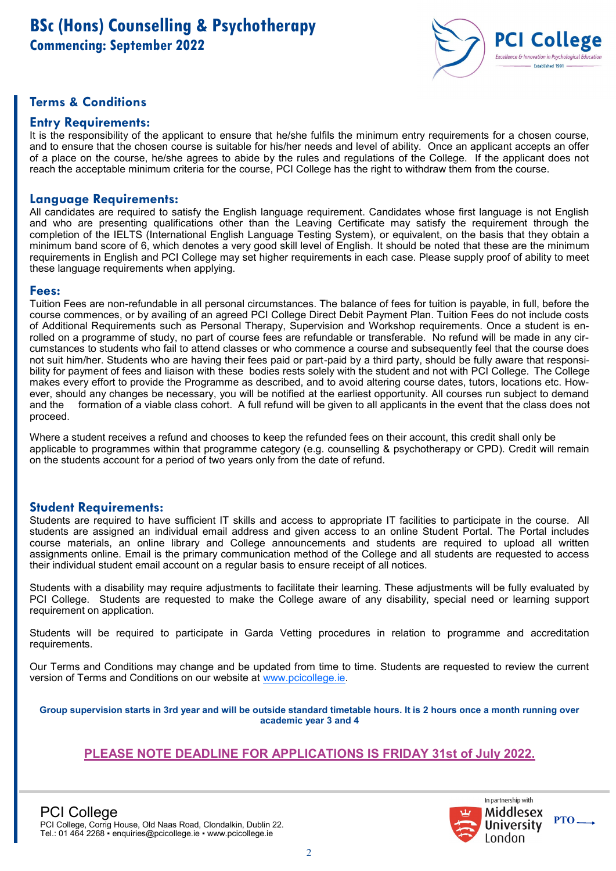

### **Terms & Conditions**

### **Entry Requirements:**

It is the responsibility of the applicant to ensure that he/she fulfils the minimum entry requirements for a chosen course, and to ensure that the chosen course is suitable for his/her needs and level of ability. Once an applicant accepts an offer of a place on the course, he/she agrees to abide by the rules and regulations of the College. If the applicant does not reach the acceptable minimum criteria for the course, PCI College has the right to withdraw them from the course.

### **Language Requirements:**

All candidates are required to satisfy the English language requirement. Candidates whose first language is not English and who are presenting qualifications other than the Leaving Certificate may satisfy the requirement through the completion of the IELTS (International English Language Testing System), or equivalent, on the basis that they obtain a minimum band score of 6, which denotes a very good skill level of English. It should be noted that these are the minimum requirements in English and PCI College may set higher requirements in each case. Please supply proof of ability to meet these language requirements when applying.

#### **Fees:**

Tuition Fees are non-refundable in all personal circumstances. The balance of fees for tuition is payable, in full, before the course commences, or by availing of an agreed PCI College Direct Debit Payment Plan. Tuition Fees do not include costs of Additional Requirements such as Personal Therapy, Supervision and Workshop requirements. Once a student is enrolled on a programme of study, no part of course fees are refundable or transferable. No refund will be made in any circumstances to students who fail to attend classes or who commence a course and subsequently feel that the course does not suit him/her. Students who are having their fees paid or part-paid by a third party, should be fully aware that responsibility for payment of fees and liaison with these bodies rests solely with the student and not with PCI College. The College makes every effort to provide the Programme as described, and to avoid altering course dates, tutors, locations etc. However, should any changes be necessary, you will be notified at the earliest opportunity. All courses run subject to demand and the formation of a viable class cohort. A full refund will be given to all applicants in the event that the class does not proceed.

Where a student receives a refund and chooses to keep the refunded fees on their account, this credit shall only be applicable to programmes within that programme category (e.g. counselling & psychotherapy or CPD). Credit will remain on the students account for a period of two years only from the date of refund.

#### **Student Requirements:**

Students are required to have sufficient IT skills and access to appropriate IT facilities to participate in the course. All students are assigned an individual email address and given access to an online Student Portal. The Portal includes course materials, an online library and College announcements and students are required to upload all written assignments online. Email is the primary communication method of the College and all students are requested to access their individual student email account on a regular basis to ensure receipt of all notices.

Students with a disability may require adjustments to facilitate their learning. These adjustments will be fully evaluated by PCI College. Students are requested to make the College aware of any disability, special need or learning support requirement on application.

Students will be required to participate in Garda Vetting procedures in relation to programme and accreditation requirements.

Our Terms and Conditions may change and be updated from time to time. Students are requested to review the current version of Terms and Conditions on our website at [www.pcicollege.ie.](http://www.pcicollege.ie) 

**Group supervision starts in 3rd year and will be outside standard timetable hours. It is 2 hours once a month running over academic year 3 and 4** 

### **PLEASE NOTE DEADLINE FOR APPLICATIONS IS FRIDAY 31st of July 2022.**



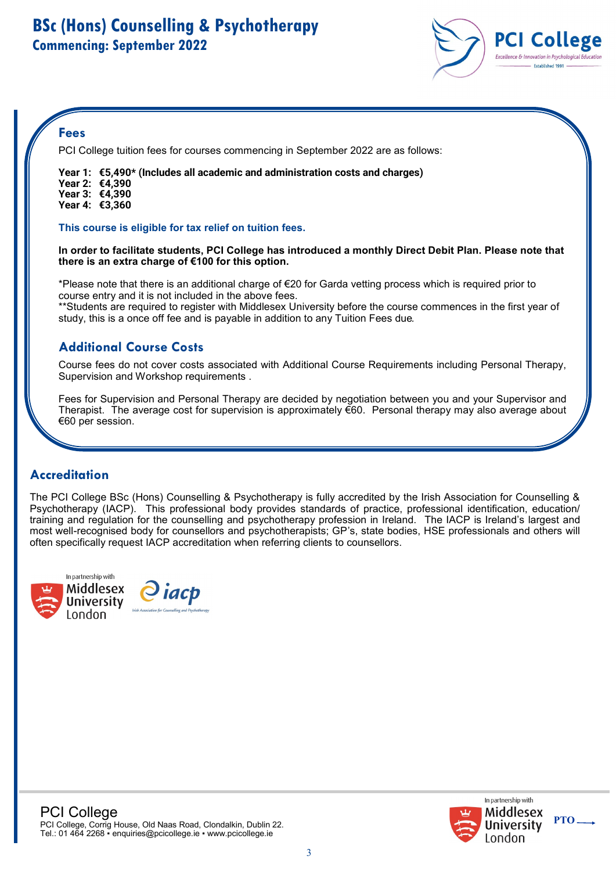

### **Fees**

PCI College tuition fees for courses commencing in September 2022 are as follows:

**Year 1: €5,490\* (Includes all academic and administration costs and charges) Year 2: €4,390 Year 3: €4,390**

study, this is a once off fee and is payable in addition to any Tuition Fees due*.*

**Year 4: €3,360**

**This course is eligible for tax relief on tuition fees.** 

**In order to facilitate students, PCI College has introduced a monthly Direct Debit Plan. Please note that there is an extra charge of €100 for this option.** 

\*Please note that there is an additional charge of €20 for Garda vetting process which is required prior to course entry and it is not included in the above fees. \*\*Students are required to register with Middlesex University before the course commences in the first year of

# **Additional Course Costs**

Course fees do not cover costs associated with Additional Course Requirements including Personal Therapy, Supervision and Workshop requirements .

Fees for Supervision and Personal Therapy are decided by negotiation between you and your Supervisor and Therapist. The average cost for supervision is approximately  $\epsilon$ 60. Personal therapy may also average about €60 per session.

# **Accreditation**

The PCI College BSc (Hons) Counselling & Psychotherapy is fully accredited by the Irish Association for Counselling & Psychotherapy (IACP). This professional body provides standards of practice, professional identification, education/ training and regulation for the counselling and psychotherapy profession in Ireland. The IACP is Ireland's largest and most well-recognised body for counsellors and psychotherapists; GP's, state bodies, HSE professionals and others will often specifically request IACP accreditation when referring clients to counsellors.



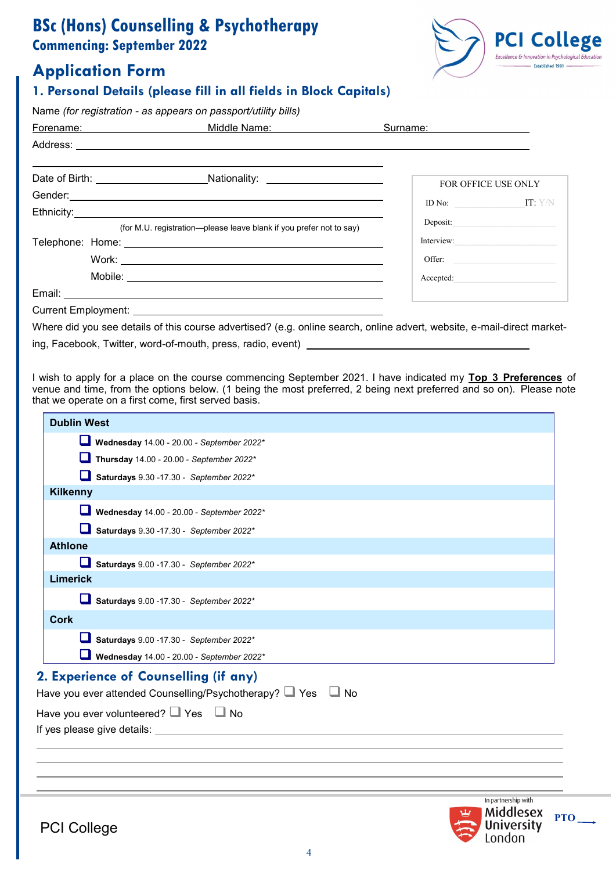# **BSc (Hons) Counselling & Psychotherapy Commencing: September 2022**

# **Application Form**



### **1. Personal Details (please fill in all fields in Block Capitals)**

Name *(for registration - as appears on passport/utility bills)* 

| Forename: National Property | Middle Name: the control of the control of the control of the control of the control of the control of the control of the control of the control of the control of the control of the control of the control of the control of | Surname:                                      |
|-----------------------------|--------------------------------------------------------------------------------------------------------------------------------------------------------------------------------------------------------------------------------|-----------------------------------------------|
|                             |                                                                                                                                                                                                                                |                                               |
|                             |                                                                                                                                                                                                                                | FOR OFFICE USE ONLY                           |
|                             | Gender: etc. but also a control of the control of the control of the control of the control of the control of the control of the control of the control of the control of the control of the control of the control of the con | ID No: $\qquad \qquad \qquad \text{IT: } Y/N$ |
|                             |                                                                                                                                                                                                                                |                                               |
|                             | (for M.U. registration—please leave blank if you prefer not to say)                                                                                                                                                            | Deposit:                                      |
|                             |                                                                                                                                                                                                                                | Interview:                                    |
|                             |                                                                                                                                                                                                                                | Offer:                                        |
|                             |                                                                                                                                                                                                                                | Accepted:                                     |
|                             |                                                                                                                                                                                                                                |                                               |
|                             |                                                                                                                                                                                                                                |                                               |

Where did you see details of this course advertised? (e.g. online search, online advert, website, e-mail-direct market-

ing, Facebook, Twitter, word-of-mouth, press, radio, event)

I wish to apply for a place on the course commencing September 2021. I have indicated my **Top 3 Preferences** of venue and time, from the options below. (1 being the most preferred, 2 being next preferred and so on). Please note that we operate on a first come, first served basis.

| <b>Dublin West</b>                                                                                                                                                                      |                                                                 |            |
|-----------------------------------------------------------------------------------------------------------------------------------------------------------------------------------------|-----------------------------------------------------------------|------------|
| Wednesday $14.00 - 20.00 -$ September 2022*                                                                                                                                             |                                                                 |            |
| Thursday $14.00 - 20.00 -$ September 2022*                                                                                                                                              |                                                                 |            |
| Saturdays 9.30 - 17.30 - September 2022*                                                                                                                                                |                                                                 |            |
| <b>Kilkenny</b>                                                                                                                                                                         |                                                                 |            |
| Wednesday 14.00 - 20.00 - September 2022*                                                                                                                                               |                                                                 |            |
| Saturdays 9.30 - 17.30 - September 2022*                                                                                                                                                |                                                                 |            |
| <b>Athlone</b>                                                                                                                                                                          |                                                                 |            |
| Saturdays 9.00 - 17.30 - September 2022*                                                                                                                                                |                                                                 |            |
| <b>Limerick</b>                                                                                                                                                                         |                                                                 |            |
| Saturdays 9.00 - 17.30 - September 2022*                                                                                                                                                |                                                                 |            |
| <b>Cork</b>                                                                                                                                                                             |                                                                 |            |
| Saturdays 9.00 - 17.30 - September 2022*                                                                                                                                                |                                                                 |            |
| Wednesday 14.00 - 20.00 - September 2022*                                                                                                                                               |                                                                 |            |
| 2. Experience of Counselling (if any)<br>Have you ever attended Counselling/Psychotherapy? □ Yes □ No<br>Have you ever volunteered? $\Box$ Yes $\Box$ No<br>If yes please give details: |                                                                 |            |
|                                                                                                                                                                                         |                                                                 |            |
| <b>PCI College</b>                                                                                                                                                                      | In partnership with<br>Middlesex<br><b>University</b><br>London | <b>PTO</b> |